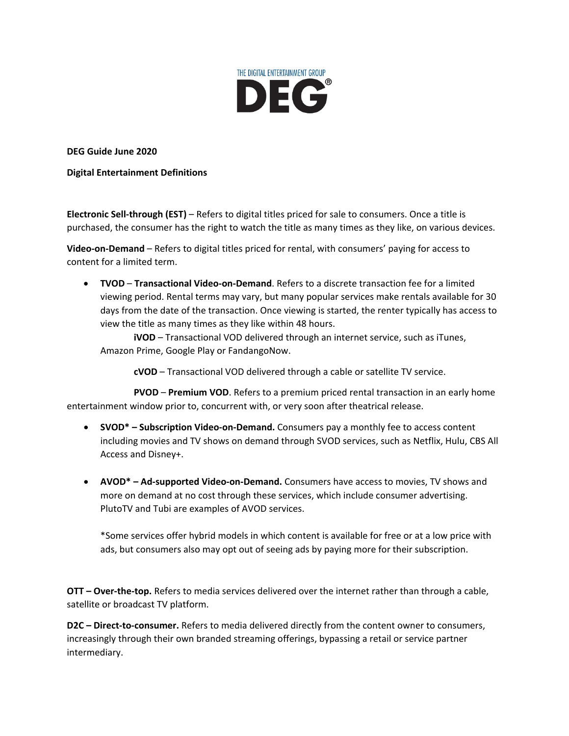

**DEG Guide June 2020**

**Digital Entertainment Definitions**

**Electronic Sell-through (EST)** – Refers to digital titles priced for sale to consumers. Once a title is purchased, the consumer has the right to watch the title as many times as they like, on various devices.

**Video-on-Demand** – Refers to digital titles priced for rental, with consumers' paying for access to content for a limited term.

• **TVOD** – **Transactional Video-on-Demand**. Refers to a discrete transaction fee for a limited viewing period. Rental terms may vary, but many popular services make rentals available for 30 days from the date of the transaction. Once viewing is started, the renter typically has access to view the title as many times as they like within 48 hours.

**iVOD** – Transactional VOD delivered through an internet service, such as iTunes, Amazon Prime, Google Play or FandangoNow.

**cVOD** – Transactional VOD delivered through a cable or satellite TV service.

**PVOD** – **Premium VOD**. Refers to a premium priced rental transaction in an early home entertainment window prior to, concurrent with, or very soon after theatrical release.

- **SVOD\* – Subscription Video-on-Demand.** Consumers pay a monthly fee to access content including movies and TV shows on demand through SVOD services, such as Netflix, Hulu, CBS All Access and Disney+.
- **AVOD\* – Ad-supported Video-on-Demand.** Consumers have access to movies, TV shows and more on demand at no cost through these services, which include consumer advertising. PlutoTV and Tubi are examples of AVOD services.

\*Some services offer hybrid models in which content is available for free or at a low price with ads, but consumers also may opt out of seeing ads by paying more for their subscription.

**OTT – Over-the-top.** Refers to media services delivered over the internet rather than through a cable, satellite or broadcast TV platform.

**D2C – Direct-to-consumer.** Refers to media delivered directly from the content owner to consumers, increasingly through their own branded streaming offerings, bypassing a retail or service partner intermediary.